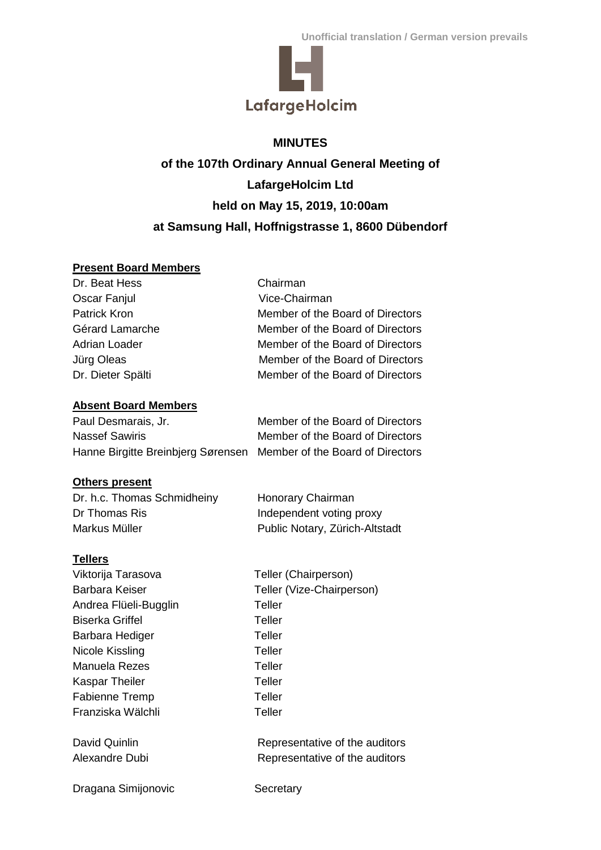

# **MINUTES of the 107th Ordinary Annual General Meeting of LafargeHolcim Ltd held on May 15, 2019, 10:00am at Samsung Hall, Hoffnigstrasse 1, 8600 Dübendorf**

# **Present Board Members**

| Dr. Beat Hess     | Chairman                         |
|-------------------|----------------------------------|
| Oscar Fanjul      | Vice-Chairman                    |
| Patrick Kron      | Member of the Board of Directors |
| Gérard Lamarche   | Member of the Board of Directors |
| Adrian Loader     | Member of the Board of Directors |
| Jürg Oleas        | Member of the Board of Directors |
| Dr. Dieter Spälti | Member of the Board of Directors |
|                   |                                  |

# **Absent Board Members**

| Paul Desmarais, Jr.                                                 | Member of the Board of Directors |
|---------------------------------------------------------------------|----------------------------------|
| Nassef Sawiris                                                      | Member of the Board of Directors |
| Hanne Birgitte Breinbjerg Sørensen Member of the Board of Directors |                                  |

# **Others present**

| Dr. h.c. Thomas Schmidheiny | Honorary Chairman              |
|-----------------------------|--------------------------------|
| Dr Thomas Ris               | Independent voting proxy       |
| Markus Müller               | Public Notary, Zürich-Altstadt |

# **Tellers**

| .                      |                                |
|------------------------|--------------------------------|
| Viktorija Tarasova     | Teller (Chairperson)           |
| Barbara Keiser         | Teller (Vize-Chairperson)      |
| Andrea Flüeli-Bugglin  | Teller                         |
| <b>Biserka Griffel</b> | Teller                         |
| Barbara Hediger        | Teller                         |
| Nicole Kissling        | Teller                         |
| Manuela Rezes          | Teller                         |
| <b>Kaspar Theiler</b>  | Teller                         |
| <b>Fabienne Tremp</b>  | Teller                         |
| Franziska Wälchli      | Teller                         |
| David Quinlin          | Representative of the auditors |
| Alexandre Dubi         | Representative of the auditors |
|                        |                                |

Dragana Simijonovic Secretary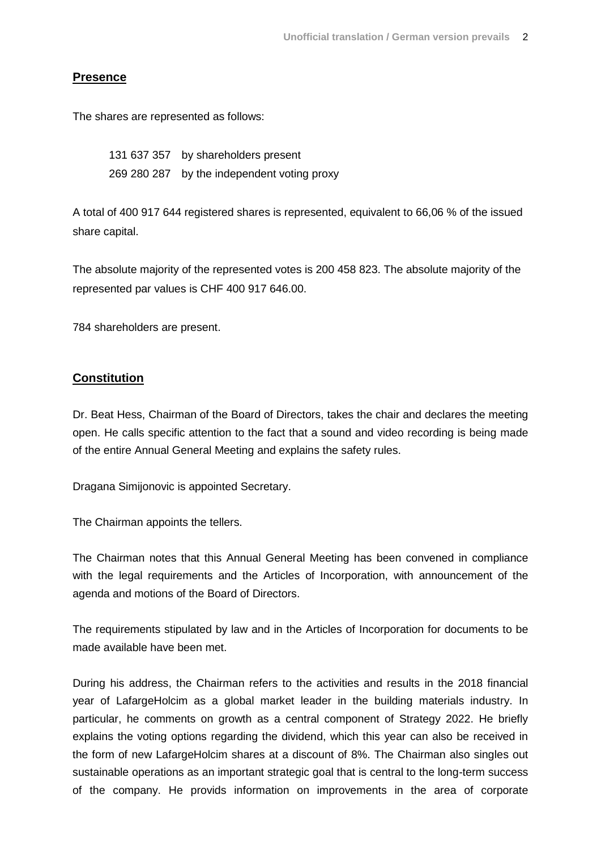### **Presence**

The shares are represented as follows:

131 637 357 by shareholders present 269 280 287 by the independent voting proxy

A total of 400 917 644 registered shares is represented, equivalent to 66,06 % of the issued share capital.

The absolute majority of the represented votes is 200 458 823. The absolute majority of the represented par values is CHF 400 917 646.00.

784 shareholders are present.

#### **Constitution**

Dr. Beat Hess, Chairman of the Board of Directors, takes the chair and declares the meeting open. He calls specific attention to the fact that a sound and video recording is being made of the entire Annual General Meeting and explains the safety rules.

Dragana Simijonovic is appointed Secretary.

The Chairman appoints the tellers.

The Chairman notes that this Annual General Meeting has been convened in compliance with the legal requirements and the Articles of Incorporation, with announcement of the agenda and motions of the Board of Directors.

The requirements stipulated by law and in the Articles of Incorporation for documents to be made available have been met.

During his address, the Chairman refers to the activities and results in the 2018 financial year of LafargeHolcim as a global market leader in the building materials industry. In particular, he comments on growth as a central component of Strategy 2022. He briefly explains the voting options regarding the dividend, which this year can also be received in the form of new LafargeHolcim shares at a discount of 8%. The Chairman also singles out sustainable operations as an important strategic goal that is central to the long-term success of the company. He provids information on improvements in the area of corporate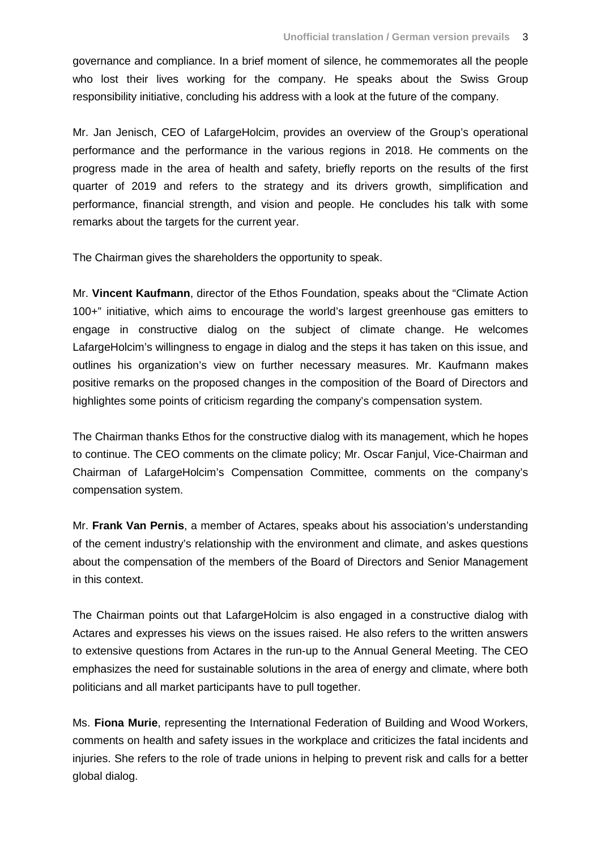governance and compliance. In a brief moment of silence, he commemorates all the people who lost their lives working for the company. He speaks about the Swiss Group responsibility initiative, concluding his address with a look at the future of the company.

Mr. Jan Jenisch, CEO of LafargeHolcim, provides an overview of the Group's operational performance and the performance in the various regions in 2018. He comments on the progress made in the area of health and safety, briefly reports on the results of the first quarter of 2019 and refers to the strategy and its drivers growth, simplification and performance, financial strength, and vision and people. He concludes his talk with some remarks about the targets for the current year.

The Chairman gives the shareholders the opportunity to speak.

Mr. **Vincent Kaufmann**, director of the Ethos Foundation, speaks about the "Climate Action 100+" initiative, which aims to encourage the world's largest greenhouse gas emitters to engage in constructive dialog on the subject of climate change. He welcomes LafargeHolcim's willingness to engage in dialog and the steps it has taken on this issue, and outlines his organization's view on further necessary measures. Mr. Kaufmann makes positive remarks on the proposed changes in the composition of the Board of Directors and highlightes some points of criticism regarding the company's compensation system.

The Chairman thanks Ethos for the constructive dialog with its management, which he hopes to continue. The CEO comments on the climate policy; Mr. Oscar Fanjul, Vice-Chairman and Chairman of LafargeHolcim's Compensation Committee, comments on the company's compensation system.

Mr. **Frank Van Pernis**, a member of Actares, speaks about his association's understanding of the cement industry's relationship with the environment and climate, and askes questions about the compensation of the members of the Board of Directors and Senior Management in this context.

The Chairman points out that LafargeHolcim is also engaged in a constructive dialog with Actares and expresses his views on the issues raised. He also refers to the written answers to extensive questions from Actares in the run-up to the Annual General Meeting. The CEO emphasizes the need for sustainable solutions in the area of energy and climate, where both politicians and all market participants have to pull together.

Ms. **Fiona Murie**, representing the International Federation of Building and Wood Workers, comments on health and safety issues in the workplace and criticizes the fatal incidents and injuries. She refers to the role of trade unions in helping to prevent risk and calls for a better global dialog.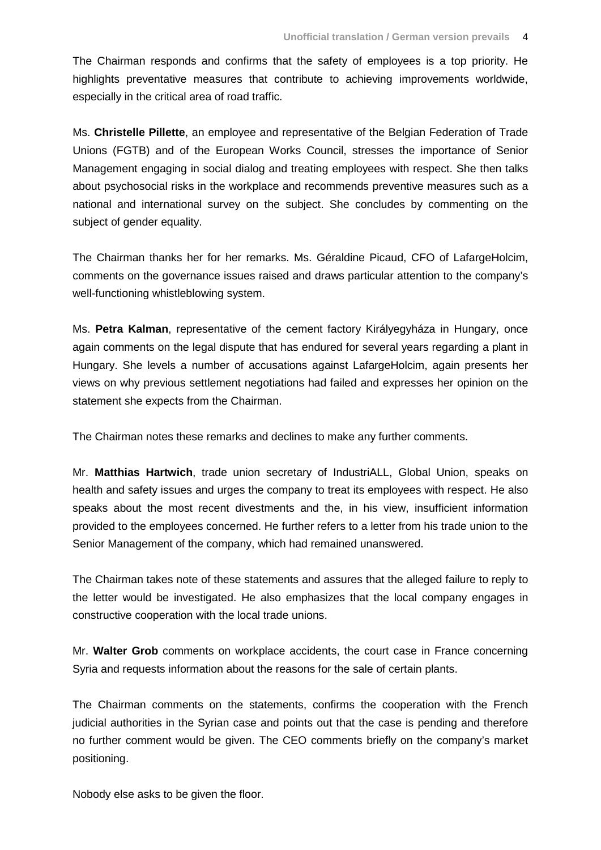The Chairman responds and confirms that the safety of employees is a top priority. He highlights preventative measures that contribute to achieving improvements worldwide, especially in the critical area of road traffic.

Ms. **Christelle Pillette**, an employee and representative of the Belgian Federation of Trade Unions (FGTB) and of the European Works Council, stresses the importance of Senior Management engaging in social dialog and treating employees with respect. She then talks about psychosocial risks in the workplace and recommends preventive measures such as a national and international survey on the subject. She concludes by commenting on the subject of gender equality.

The Chairman thanks her for her remarks. Ms. Géraldine Picaud, CFO of LafargeHolcim, comments on the governance issues raised and draws particular attention to the company's well-functioning whistleblowing system.

Ms. **Petra Kalman**, representative of the cement factory Királyegyháza in Hungary, once again comments on the legal dispute that has endured for several years regarding a plant in Hungary. She levels a number of accusations against LafargeHolcim, again presents her views on why previous settlement negotiations had failed and expresses her opinion on the statement she expects from the Chairman.

The Chairman notes these remarks and declines to make any further comments.

Mr. **Matthias Hartwich**, trade union secretary of IndustriALL, Global Union, speaks on health and safety issues and urges the company to treat its employees with respect. He also speaks about the most recent divestments and the, in his view, insufficient information provided to the employees concerned. He further refers to a letter from his trade union to the Senior Management of the company, which had remained unanswered.

The Chairman takes note of these statements and assures that the alleged failure to reply to the letter would be investigated. He also emphasizes that the local company engages in constructive cooperation with the local trade unions.

Mr. **Walter Grob** comments on workplace accidents, the court case in France concerning Syria and requests information about the reasons for the sale of certain plants.

The Chairman comments on the statements, confirms the cooperation with the French judicial authorities in the Syrian case and points out that the case is pending and therefore no further comment would be given. The CEO comments briefly on the company's market positioning.

Nobody else asks to be given the floor.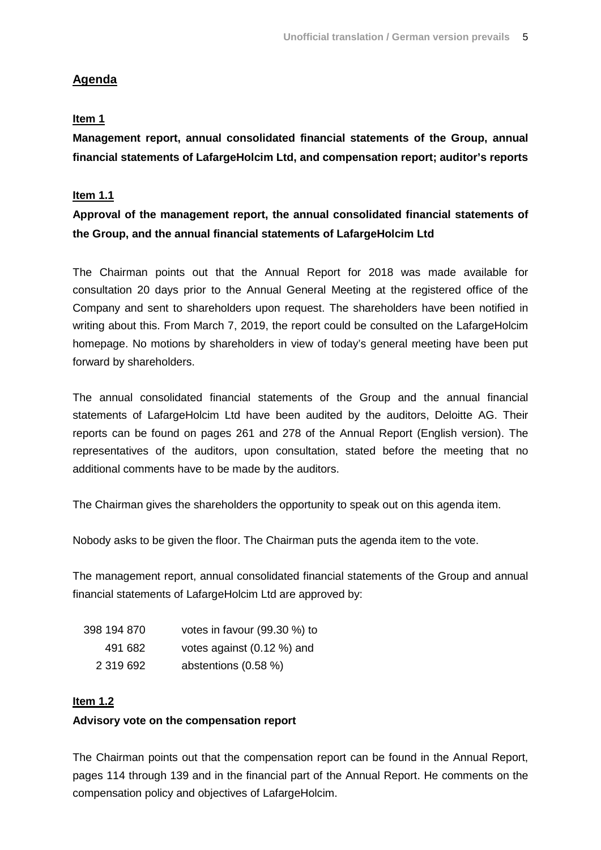# **Agenda**

# **Item 1**

**Management report, annual consolidated financial statements of the Group, annual financial statements of LafargeHolcim Ltd, and compensation report; auditor's reports**

# **Item 1.1**

# **Approval of the management report, the annual consolidated financial statements of the Group, and the annual financial statements of LafargeHolcim Ltd**

The Chairman points out that the Annual Report for 2018 was made available for consultation 20 days prior to the Annual General Meeting at the registered office of the Company and sent to shareholders upon request. The shareholders have been notified in writing about this. From March 7, 2019, the report could be consulted on the LafargeHolcim homepage. No motions by shareholders in view of today's general meeting have been put forward by shareholders.

The annual consolidated financial statements of the Group and the annual financial statements of LafargeHolcim Ltd have been audited by the auditors, Deloitte AG. Their reports can be found on pages 261 and 278 of the Annual Report (English version). The representatives of the auditors, upon consultation, stated before the meeting that no additional comments have to be made by the auditors.

The Chairman gives the shareholders the opportunity to speak out on this agenda item.

Nobody asks to be given the floor. The Chairman puts the agenda item to the vote.

The management report, annual consolidated financial statements of the Group and annual financial statements of LafargeHolcim Ltd are approved by:

| 398 194 870 | votes in favour (99.30 %) to |
|-------------|------------------------------|
| 491 682     | votes against (0.12 %) and   |
| 2 319 692   | abstentions (0.58 %)         |

# **Item 1.2**

# **Advisory vote on the compensation report**

The Chairman points out that the compensation report can be found in the Annual Report, pages 114 through 139 and in the financial part of the Annual Report. He comments on the compensation policy and objectives of LafargeHolcim.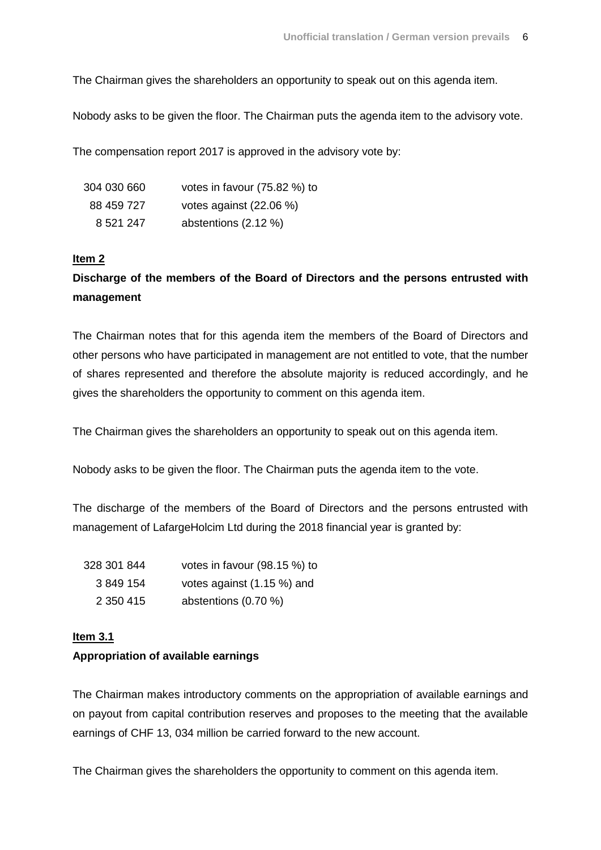The Chairman gives the shareholders an opportunity to speak out on this agenda item.

Nobody asks to be given the floor. The Chairman puts the agenda item to the advisory vote.

The compensation report 2017 is approved in the advisory vote by:

| 304 030 660 | votes in favour (75.82 %) to |
|-------------|------------------------------|
| 88 459 727  | votes against (22.06 %)      |
| 8 521 247   | abstentions $(2.12 \%)$      |

#### **Item 2**

# **Discharge of the members of the Board of Directors and the persons entrusted with management**

The Chairman notes that for this agenda item the members of the Board of Directors and other persons who have participated in management are not entitled to vote, that the number of shares represented and therefore the absolute majority is reduced accordingly, and he gives the shareholders the opportunity to comment on this agenda item.

The Chairman gives the shareholders an opportunity to speak out on this agenda item.

Nobody asks to be given the floor. The Chairman puts the agenda item to the vote.

The discharge of the members of the Board of Directors and the persons entrusted with management of LafargeHolcim Ltd during the 2018 financial year is granted by:

| 328 301 844 | votes in favour (98.15 %) to |
|-------------|------------------------------|
| 3 849 154   | votes against (1.15 %) and   |
| 2 350 415   | abstentions (0.70 %)         |

#### **Item 3.1**

#### **Appropriation of available earnings**

The Chairman makes introductory comments on the appropriation of available earnings and on payout from capital contribution reserves and proposes to the meeting that the available earnings of CHF 13, 034 million be carried forward to the new account.

The Chairman gives the shareholders the opportunity to comment on this agenda item.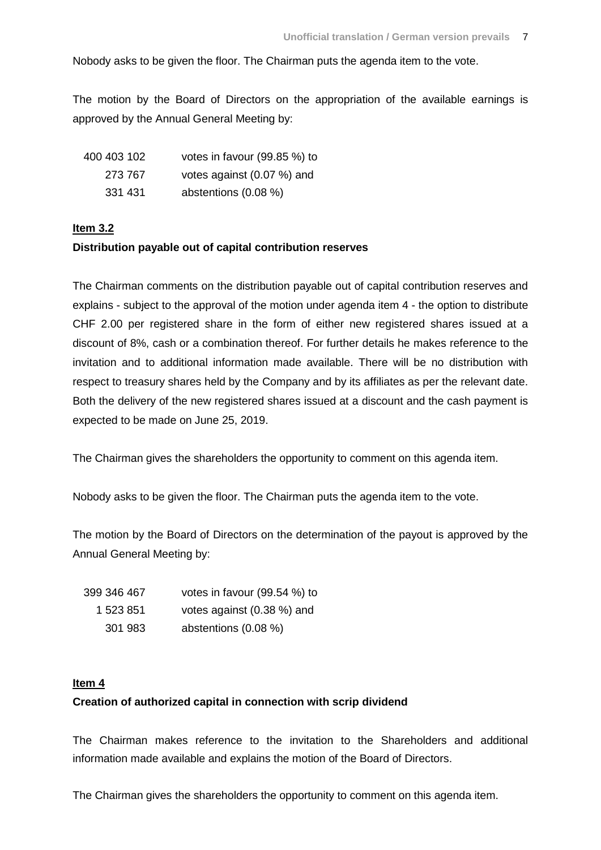Nobody asks to be given the floor. The Chairman puts the agenda item to the vote.

The motion by the Board of Directors on the appropriation of the available earnings is approved by the Annual General Meeting by:

| 400 403 102 | votes in favour (99.85 %) to |
|-------------|------------------------------|
| 273 767     | votes against (0.07 %) and   |
| 331 431     | abstentions $(0.08\%)$       |

# **Item 3.2**

# **Distribution payable out of capital contribution reserves**

The Chairman comments on the distribution payable out of capital contribution reserves and explains - subject to the approval of the motion under agenda item 4 - the option to distribute CHF 2.00 per registered share in the form of either new registered shares issued at a discount of 8%, cash or a combination thereof. For further details he makes reference to the invitation and to additional information made available. There will be no distribution with respect to treasury shares held by the Company and by its affiliates as per the relevant date. Both the delivery of the new registered shares issued at a discount and the cash payment is expected to be made on June 25, 2019.

The Chairman gives the shareholders the opportunity to comment on this agenda item.

Nobody asks to be given the floor. The Chairman puts the agenda item to the vote.

The motion by the Board of Directors on the determination of the payout is approved by the Annual General Meeting by:

| 399 346 467 | votes in favour (99.54 %) to |
|-------------|------------------------------|
| 1 523 851   | votes against (0.38 %) and   |
| 301 983     | abstentions (0.08 %)         |

# **Item 4**

# **Creation of authorized capital in connection with scrip dividend**

The Chairman makes reference to the invitation to the Shareholders and additional information made available and explains the motion of the Board of Directors.

The Chairman gives the shareholders the opportunity to comment on this agenda item.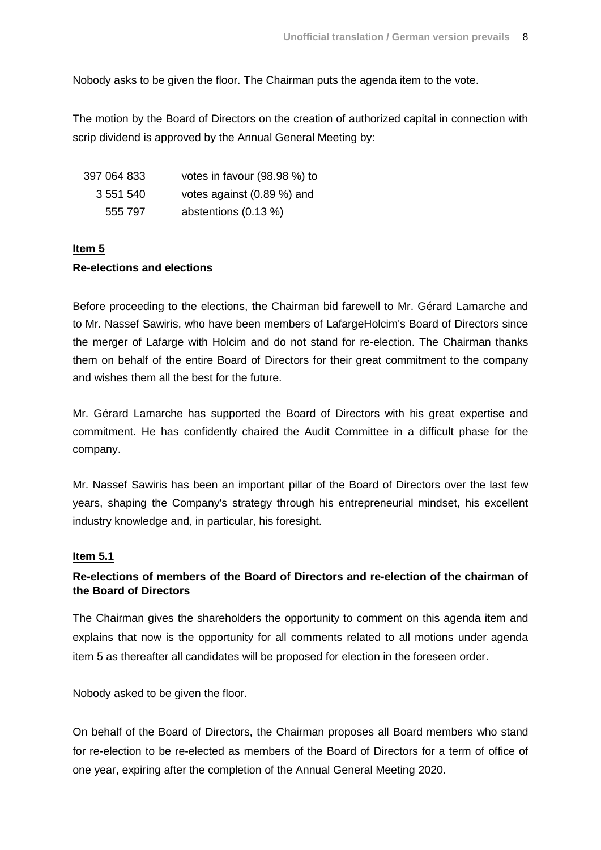Nobody asks to be given the floor. The Chairman puts the agenda item to the vote.

The motion by the Board of Directors on the creation of authorized capital in connection with scrip dividend is approved by the Annual General Meeting by:

| 397 064 833 | votes in favour (98.98 %) to |
|-------------|------------------------------|
| 3 551 540   | votes against (0.89 %) and   |
| 555 797     | abstentions $(0.13 \%)$      |

# **Item 5**

# **Re-elections and elections**

Before proceeding to the elections, the Chairman bid farewell to Mr. Gérard Lamarche and to Mr. Nassef Sawiris, who have been members of LafargeHolcim's Board of Directors since the merger of Lafarge with Holcim and do not stand for re-election. The Chairman thanks them on behalf of the entire Board of Directors for their great commitment to the company and wishes them all the best for the future.

Mr. Gérard Lamarche has supported the Board of Directors with his great expertise and commitment. He has confidently chaired the Audit Committee in a difficult phase for the company.

Mr. Nassef Sawiris has been an important pillar of the Board of Directors over the last few years, shaping the Company's strategy through his entrepreneurial mindset, his excellent industry knowledge and, in particular, his foresight.

#### **Item 5.1**

# **Re-elections of members of the Board of Directors and re-election of the chairman of the Board of Directors**

The Chairman gives the shareholders the opportunity to comment on this agenda item and explains that now is the opportunity for all comments related to all motions under agenda item 5 as thereafter all candidates will be proposed for election in the foreseen order.

Nobody asked to be given the floor.

On behalf of the Board of Directors, the Chairman proposes all Board members who stand for re-election to be re-elected as members of the Board of Directors for a term of office of one year, expiring after the completion of the Annual General Meeting 2020.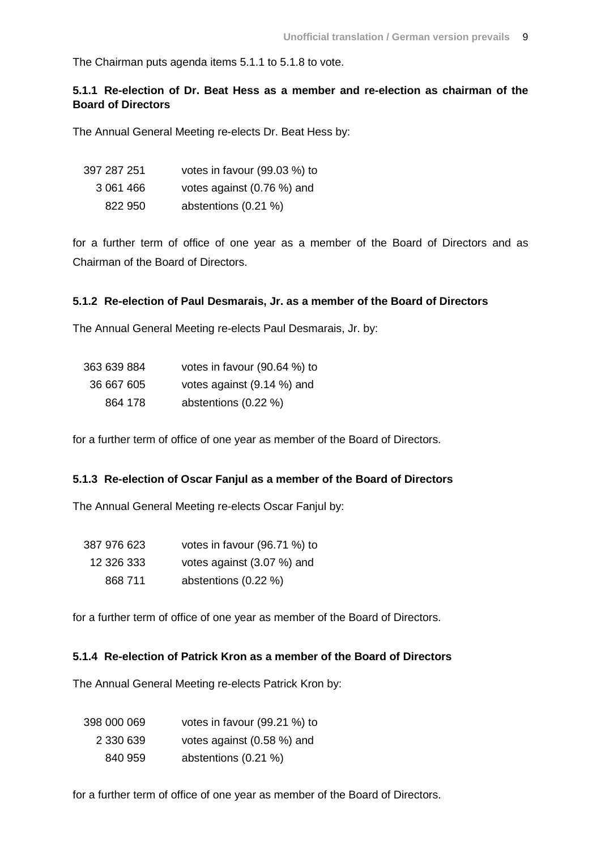The Chairman puts agenda items 5.1.1 to 5.1.8 to vote.

# **5.1.1 Re-election of Dr. Beat Hess as a member and re-election as chairman of the Board of Directors**

The Annual General Meeting re-elects Dr. Beat Hess by:

| 397 287 251 | votes in favour (99.03 %) to |
|-------------|------------------------------|
| 3 061 466   | votes against (0.76 %) and   |
| 822 950     | abstentions (0.21 %)         |

for a further term of office of one year as a member of the Board of Directors and as Chairman of the Board of Directors.

#### **5.1.2 Re-election of Paul Desmarais, Jr. as a member of the Board of Directors**

The Annual General Meeting re-elects Paul Desmarais, Jr. by:

| 363 639 884 | votes in favour $(90.64\%)$ to |
|-------------|--------------------------------|
| 36 667 605  | votes against (9.14 %) and     |
| 864 178     | abstentions (0.22 %)           |

for a further term of office of one year as member of the Board of Directors.

#### **5.1.3 Re-election of Oscar Fanjul as a member of the Board of Directors**

The Annual General Meeting re-elects Oscar Fanjul by:

| 387 976 623 | votes in favour (96.71 %) to |
|-------------|------------------------------|
| 12 326 333  | votes against (3.07 %) and   |
| 868 711     | abstentions (0.22 %)         |

for a further term of office of one year as member of the Board of Directors.

### **5.1.4 Re-election of Patrick Kron as a member of the Board of Directors**

The Annual General Meeting re-elects Patrick Kron by:

| 398 000 069 | votes in favour (99.21 %) to |
|-------------|------------------------------|
| 2 330 639   | votes against (0.58 %) and   |
| 840 959     | abstentions (0.21 %)         |

for a further term of office of one year as member of the Board of Directors.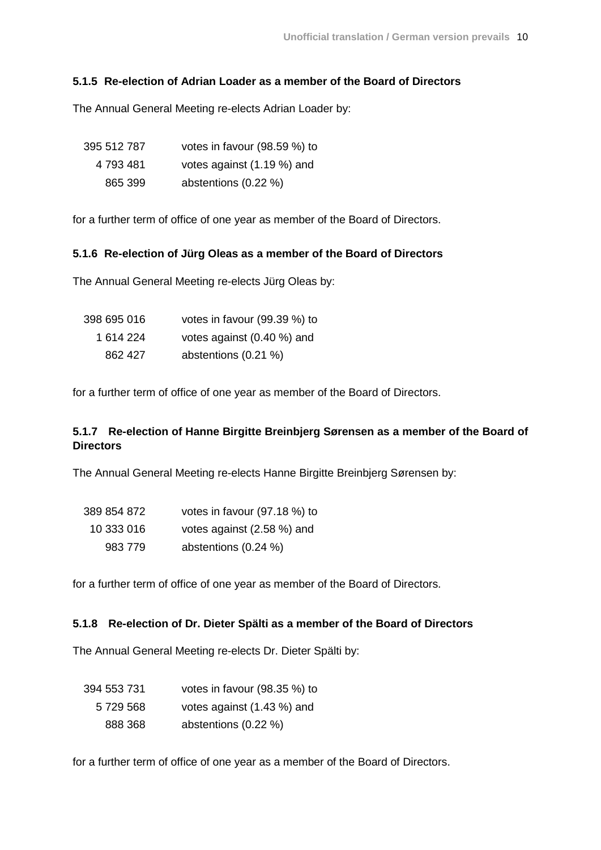### **5.1.5 Re-election of Adrian Loader as a member of the Board of Directors**

The Annual General Meeting re-elects Adrian Loader by:

| 395 512 787 | votes in favour (98.59 %) to |
|-------------|------------------------------|
| 4 793 481   | votes against (1.19 %) and   |
| 865 399     | abstentions (0.22 %)         |

for a further term of office of one year as member of the Board of Directors.

#### **5.1.6 Re-election of Jürg Oleas as a member of the Board of Directors**

The Annual General Meeting re-elects Jürg Oleas by:

| 398 695 016 | votes in favour (99.39 %) to |
|-------------|------------------------------|
| 1 614 224   | votes against (0.40 %) and   |
| 862 427     | abstentions (0.21 %)         |

for a further term of office of one year as member of the Board of Directors.

# **5.1.7 Re-election of Hanne Birgitte Breinbjerg Sørensen as a member of the Board of Directors**

The Annual General Meeting re-elects Hanne Birgitte Breinbjerg Sørensen by:

| 389 854 872 | votes in favour (97.18 %) to |
|-------------|------------------------------|
| 10 333 016  | votes against (2.58 %) and   |
| 983 779     | abstentions (0.24 %)         |

for a further term of office of one year as member of the Board of Directors.

# **5.1.8 Re-election of Dr. Dieter Spälti as a member of the Board of Directors**

The Annual General Meeting re-elects Dr. Dieter Spälti by:

| 394 553 731 | votes in favour (98.35 %) to |  |
|-------------|------------------------------|--|
| 5 729 568   | votes against (1.43 %) and   |  |
| 888 368     | abstentions (0.22 %)         |  |

for a further term of office of one year as a member of the Board of Directors.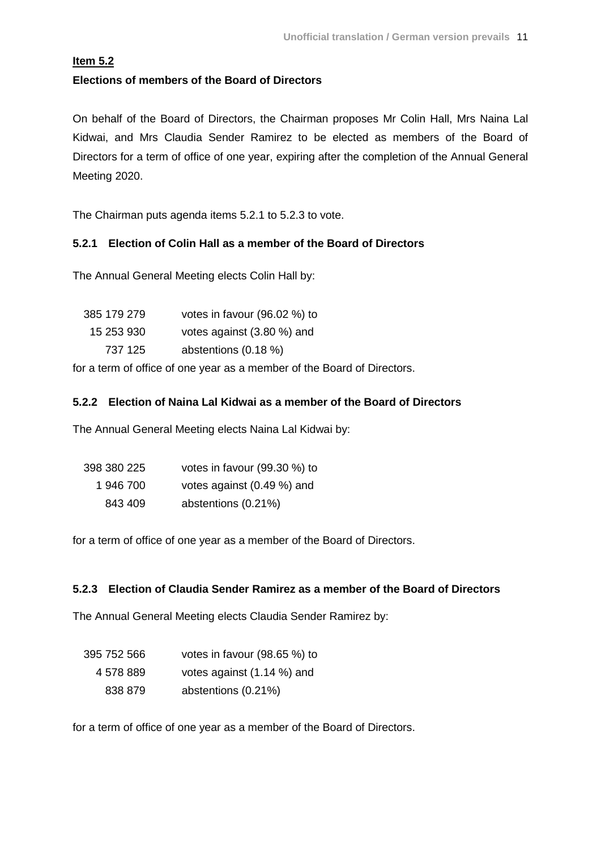# **Item 5.2**

# **Elections of members of the Board of Directors**

On behalf of the Board of Directors, the Chairman proposes Mr Colin Hall, Mrs Naina Lal Kidwai, and Mrs Claudia Sender Ramirez to be elected as members of the Board of Directors for a term of office of one year, expiring after the completion of the Annual General Meeting 2020.

The Chairman puts agenda items 5.2.1 to 5.2.3 to vote.

# **5.2.1 Election of Colin Hall as a member of the Board of Directors**

The Annual General Meeting elects Colin Hall by:

| votes in favour (96.02 %) to |
|------------------------------|
| votes against (3.80 %) and   |
| abstentions (0.18 %)         |
|                              |

for a term of office of one year as a member of the Board of Directors.

# **5.2.2 Election of Naina Lal Kidwai as a member of the Board of Directors**

The Annual General Meeting elects Naina Lal Kidwai by:

| 398 380 225 | votes in favour (99.30 %) to |
|-------------|------------------------------|
| 1 946 700   | votes against (0.49 %) and   |
| 843 409     | abstentions (0.21%)          |

for a term of office of one year as a member of the Board of Directors.

# **5.2.3 Election of Claudia Sender Ramirez as a member of the Board of Directors**

The Annual General Meeting elects Claudia Sender Ramirez by:

| 395 752 566 | votes in favour $(98.65%)$ to |
|-------------|-------------------------------|
| 4 578 889   | votes against (1.14 %) and    |
| 838 879     | abstentions (0.21%)           |

for a term of office of one year as a member of the Board of Directors.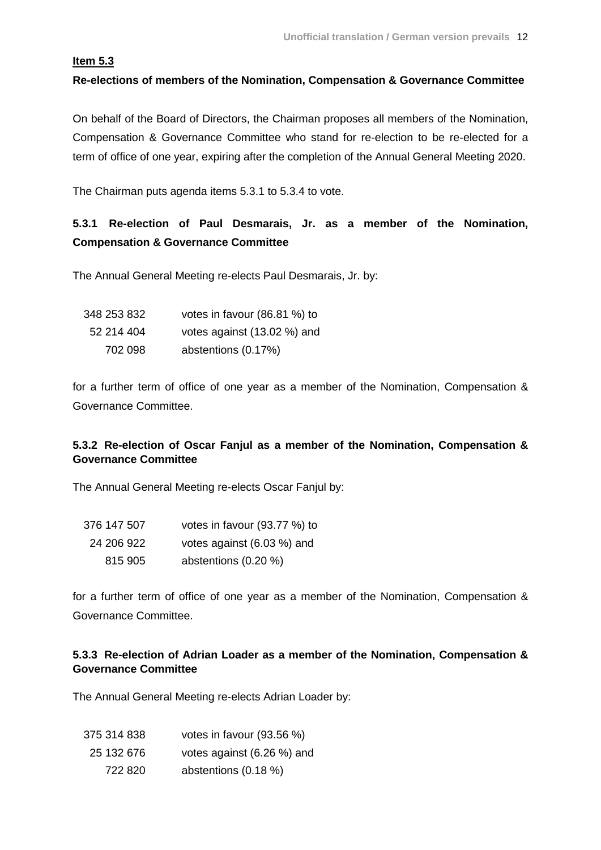# **Item 5.3**

# **Re-elections of members of the Nomination, Compensation & Governance Committee**

On behalf of the Board of Directors, the Chairman proposes all members of the Nomination, Compensation & Governance Committee who stand for re-election to be re-elected for a term of office of one year, expiring after the completion of the Annual General Meeting 2020.

The Chairman puts agenda items 5.3.1 to 5.3.4 to vote.

# **5.3.1 Re-election of Paul Desmarais, Jr. as a member of the Nomination, Compensation & Governance Committee**

The Annual General Meeting re-elects Paul Desmarais, Jr. by:

| 348 253 832 | votes in favour (86.81 %) to |
|-------------|------------------------------|
| 52 214 404  | votes against (13.02 %) and  |
| 702 098     | abstentions (0.17%)          |

for a further term of office of one year as a member of the Nomination, Compensation & Governance Committee.

# **5.3.2 Re-election of Oscar Fanjul as a member of the Nomination, Compensation & Governance Committee**

The Annual General Meeting re-elects Oscar Fanjul by:

| 376 147 507 | votes in favour (93.77 %) to |
|-------------|------------------------------|
| 24 206 922  | votes against (6.03 %) and   |
| 815 905     | abstentions (0.20 %)         |

for a further term of office of one year as a member of the Nomination, Compensation & Governance Committee.

# **5.3.3 Re-election of Adrian Loader as a member of the Nomination, Compensation & Governance Committee**

The Annual General Meeting re-elects Adrian Loader by:

| 375 314 838 | votes in favour (93.56 %)  |  |
|-------------|----------------------------|--|
| 25 132 676  | votes against (6.26 %) and |  |
| 722 820     | abstentions (0.18 %)       |  |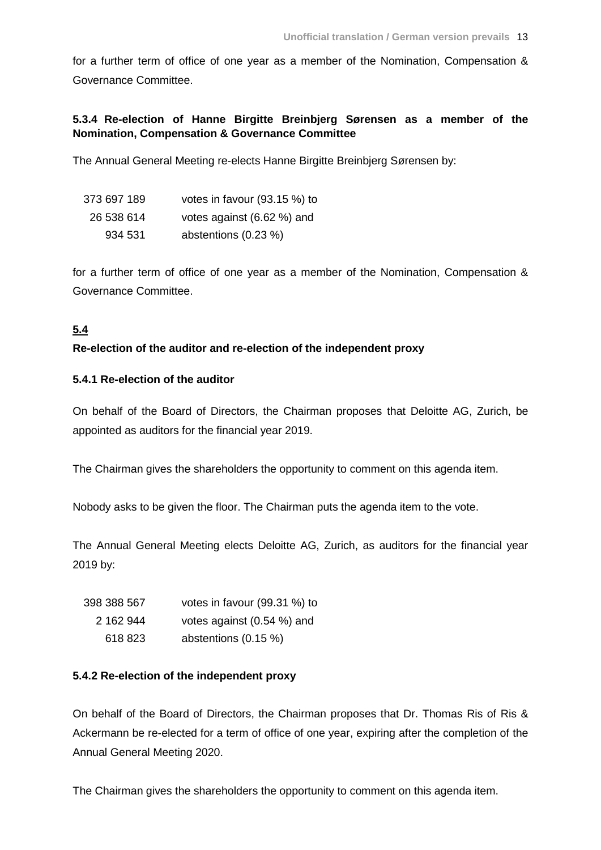for a further term of office of one year as a member of the Nomination, Compensation & Governance Committee.

# **5.3.4 Re-election of Hanne Birgitte Breinbjerg Sørensen as a member of the Nomination, Compensation & Governance Committee**

The Annual General Meeting re-elects Hanne Birgitte Breinbjerg Sørensen by:

| 373 697 189 | votes in favour (93.15 %) to |
|-------------|------------------------------|
| 26 538 614  | votes against (6.62 %) and   |
| 934 531     | abstentions (0.23 %)         |

for a further term of office of one year as a member of the Nomination, Compensation & Governance Committee.

# **5.4**

# **Re-election of the auditor and re-election of the independent proxy**

### **5.4.1 Re-election of the auditor**

On behalf of the Board of Directors, the Chairman proposes that Deloitte AG, Zurich, be appointed as auditors for the financial year 2019.

The Chairman gives the shareholders the opportunity to comment on this agenda item.

Nobody asks to be given the floor. The Chairman puts the agenda item to the vote.

The Annual General Meeting elects Deloitte AG, Zurich, as auditors for the financial year 2019 by:

| 398 388 567 | votes in favour (99.31 %) to |
|-------------|------------------------------|
| 2 162 944   | votes against (0.54 %) and   |
| 618 823     | abstentions (0.15 %)         |

# **5.4.2 Re-election of the independent proxy**

On behalf of the Board of Directors, the Chairman proposes that Dr. Thomas Ris of Ris & Ackermann be re-elected for a term of office of one year, expiring after the completion of the Annual General Meeting 2020.

The Chairman gives the shareholders the opportunity to comment on this agenda item.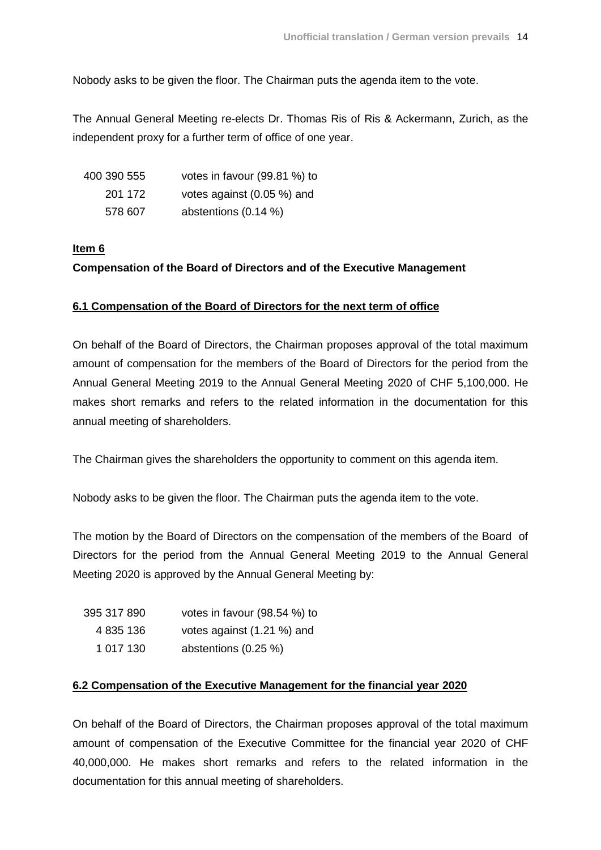Nobody asks to be given the floor. The Chairman puts the agenda item to the vote.

The Annual General Meeting re-elects Dr. Thomas Ris of Ris & Ackermann, Zurich, as the independent proxy for a further term of office of one year.

| 400 390 555 | votes in favour (99.81 %) to |
|-------------|------------------------------|
| 201 172     | votes against (0.05 %) and   |
| 578 607     | abstentions $(0.14\%)$       |

# **Item 6**

# **Compensation of the Board of Directors and of the Executive Management**

# **6.1 Compensation of the Board of Directors for the next term of office**

On behalf of the Board of Directors, the Chairman proposes approval of the total maximum amount of compensation for the members of the Board of Directors for the period from the Annual General Meeting 2019 to the Annual General Meeting 2020 of CHF 5,100,000. He makes short remarks and refers to the related information in the documentation for this annual meeting of shareholders.

The Chairman gives the shareholders the opportunity to comment on this agenda item.

Nobody asks to be given the floor. The Chairman puts the agenda item to the vote.

The motion by the Board of Directors on the compensation of the members of the Board of Directors for the period from the Annual General Meeting 2019 to the Annual General Meeting 2020 is approved by the Annual General Meeting by:

| 395 317 890 | votes in favour (98.54 %) to |
|-------------|------------------------------|
| 4 835 136   | votes against (1.21 %) and   |
| 1 017 130   | abstentions (0.25 %)         |

# **6.2 Compensation of the Executive Management for the financial year 2020**

On behalf of the Board of Directors, the Chairman proposes approval of the total maximum amount of compensation of the Executive Committee for the financial year 2020 of CHF 40,000,000. He makes short remarks and refers to the related information in the documentation for this annual meeting of shareholders.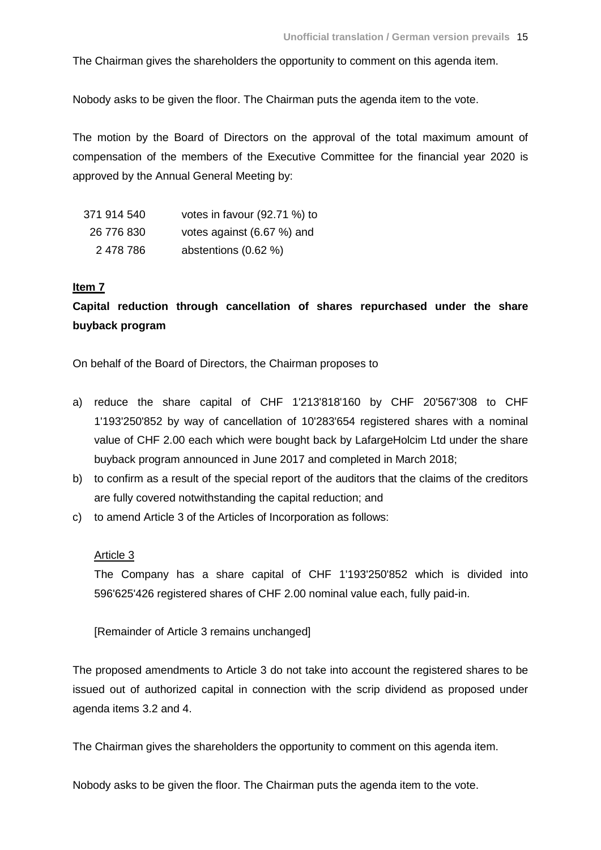The Chairman gives the shareholders the opportunity to comment on this agenda item.

Nobody asks to be given the floor. The Chairman puts the agenda item to the vote.

The motion by the Board of Directors on the approval of the total maximum amount of compensation of the members of the Executive Committee for the financial year 2020 is approved by the Annual General Meeting by:

| 371 914 540 | votes in favour (92.71 %) to |
|-------------|------------------------------|
| 26 776 830  | votes against (6.67 %) and   |
| 2 478 786   | abstentions (0.62 %)         |

#### **Item 7**

**Capital reduction through cancellation of shares repurchased under the share buyback program**

On behalf of the Board of Directors, the Chairman proposes to

- a) reduce the share capital of CHF 1'213'818'160 by CHF 20'567'308 to CHF 1'193'250'852 by way of cancellation of 10'283'654 registered shares with a nominal value of CHF 2.00 each which were bought back by LafargeHolcim Ltd under the share buyback program announced in June 2017 and completed in March 2018;
- b) to confirm as a result of the special report of the auditors that the claims of the creditors are fully covered notwithstanding the capital reduction; and
- c) to amend Article 3 of the Articles of Incorporation as follows:

#### Article 3

The Company has a share capital of CHF 1'193'250'852 which is divided into 596'625'426 registered shares of CHF 2.00 nominal value each, fully paid-in.

[Remainder of Article 3 remains unchanged]

The proposed amendments to Article 3 do not take into account the registered shares to be issued out of authorized capital in connection with the scrip dividend as proposed under agenda items 3.2 and 4.

The Chairman gives the shareholders the opportunity to comment on this agenda item.

Nobody asks to be given the floor. The Chairman puts the agenda item to the vote.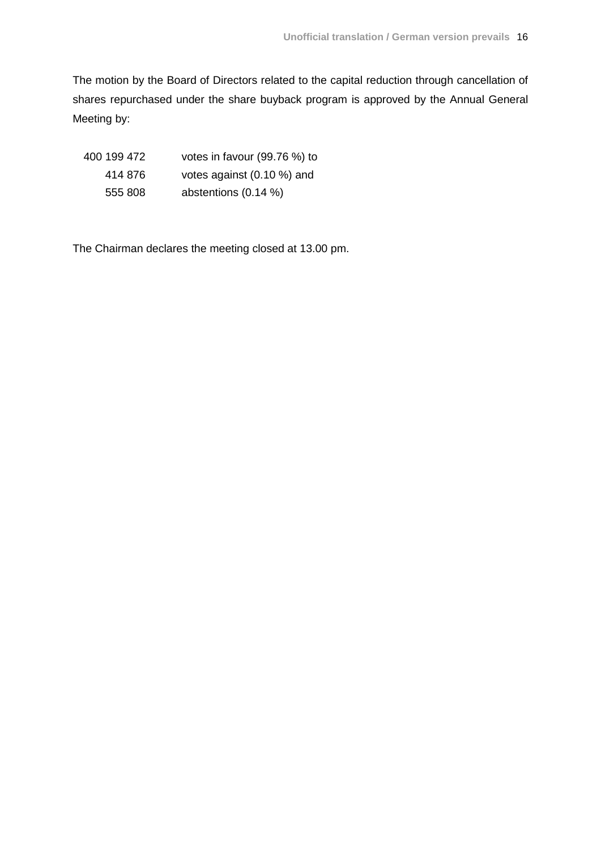The motion by the Board of Directors related to the capital reduction through cancellation of shares repurchased under the share buyback program is approved by the Annual General Meeting by:

| 400 199 472 | votes in favour (99.76 %) to |
|-------------|------------------------------|
| 414 876     | votes against (0.10 %) and   |
| 555 808     | abstentions $(0.14\%)$       |

The Chairman declares the meeting closed at 13.00 pm.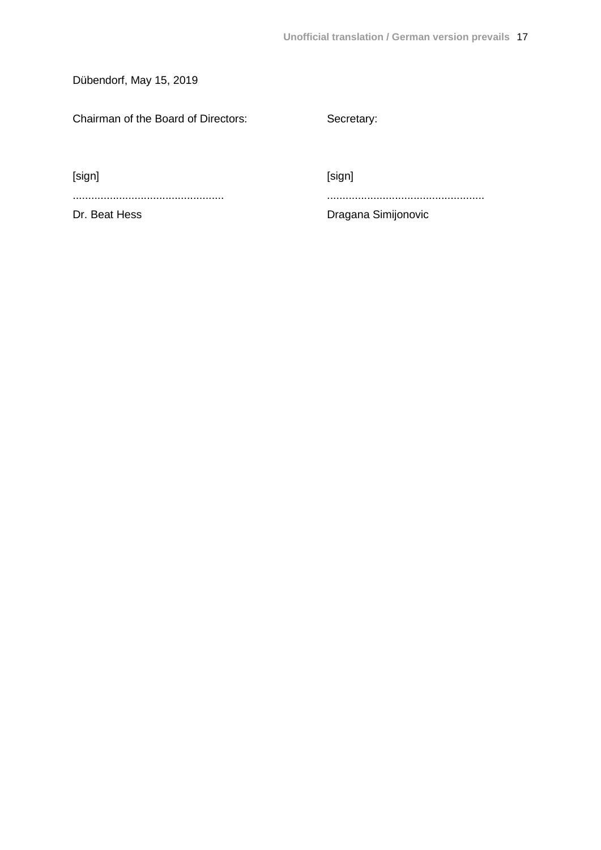Dübendorf, May 15, 2019

Chairman of the Board of Directors: Secretary:

[sign] [sign]

................................................. ...................................................

Dr. Beat Hess **Dragana** Simijonovic